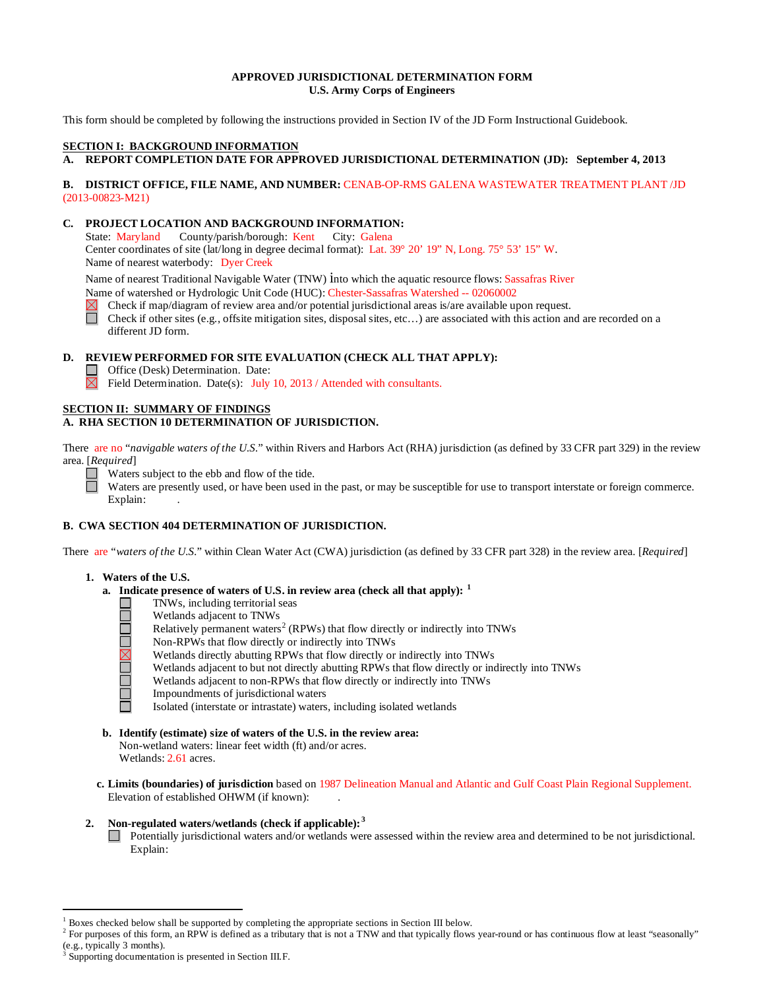### **APPROVED JURISDICTIONAL DETERMINATION FORM U.S. Army Corps of Engineers**

This form should be completed by following the instructions provided in Section IV of the JD Form Instructional Guidebook.

## **SECTION I: BACKGROUND INFORMATION**

## **A. REPORT COMPLETION DATE FOR APPROVED JURISDICTIONAL DETERMINATION (JD): September 4, 2013**

### **B. DISTRICT OFFICE, FILE NAME, AND NUMBER:** CENAB-OP-RMS GALENA WASTEWATER TREATMENT PLANT /JD (2013-00823-M21)

#### **C. PROJECT LOCATION AND BACKGROUND INFORMATION:**

State: Maryland County/parish/borough: Kent City: Galena Center coordinates of site (lat/long in degree decimal format): Lat. 39° 20' 19" N, Long. 75° 53' 15" W. Name of nearest waterbody: Dyer Creek

Name of nearest Traditional Navigable Water (TNW) into which the aquatic resource flows: Sassafras River

Name of watershed or Hydrologic Unit Code (HUC): Chester-Sassafras Watershed -- 02060002

Check if map/diagram of review area and/or potential jurisdictional areas is/are available upon request.

П Check if other sites (e.g., offsite mitigation sites, disposal sites, etc…) are associated with this action and are recorded on a different JD form.

#### **D. REVIEW PERFORMED FOR SITE EVALUATION (CHECK ALL THAT APPLY):**

Office (Desk) Determination. Date:

 $\boxtimes$ Field Determination. Date(s): July 10, 2013 / Attended with consultants.

#### **SECTION II: SUMMARY OF FINDINGS A. RHA SECTION 10 DETERMINATION OF JURISDICTION.**

There are no "*navigable waters of the U.S.*" within Rivers and Harbors Act (RHA) jurisdiction (as defined by 33 CFR part 329) in the review area. [*Required*]

□ Waters subject to the ebb and flow of the tide.

Waters are presently used, or have been used in the past, or may be susceptible for use to transport interstate or foreign commerce. Explain:

# **B. CWA SECTION 404 DETERMINATION OF JURISDICTION.**

There are "*waters of the U.S.*" within Clean Water Act (CWA) jurisdiction (as defined by 33 CFR part 328) in the review area. [*Required*]

#### **1. Waters of the U.S.**

П

- **a. Indicate presence of waters of U.S. in review area (check all that apply): [1](#page-0-0)**
	- TNWs, including territorial seas
	- Wetlands adjacent to TNWs
	- Relatively permanent waters<sup>[2](#page-0-1)</sup> (RPWs) that flow directly or indirectly into TNWs
	- Non-RPWs that flow directly or indirectly into TNWs
	- Wetlands directly abutting RPWs that flow directly or indirectly into TNWs
	- Wetlands adjacent to but not directly abutting RPWs that flow directly or indirectly into TNWs
	- **NUMBER** Wetlands adjacent to non-RPWs that flow directly or indirectly into TNWs
		- Impoundments of jurisdictional waters
		- Isolated (interstate or intrastate) waters, including isolated wetlands
- **b. Identify (estimate) size of waters of the U.S. in the review area:** Non-wetland waters: linear feet width (ft) and/or acres. Wetlands: 2.61 acres.
- **c. Limits (boundaries) of jurisdiction** based on 1987 Delineation Manual and Atlantic and Gulf Coast Plain Regional Supplement. Elevation of established OHWM (if known):

## **2. Non-regulated waters/wetlands (check if applicable): [3](#page-0-2)**

Potentially jurisdictional waters and/or wetlands were assessed within the review area and determined to be not jurisdictional. Explain:

 <sup>1</sup> Boxes checked below shall be supported by completing the appropriate sections in Section III below.

<span id="page-0-1"></span><span id="page-0-0"></span><sup>&</sup>lt;sup>2</sup> For purposes of this form, an RPW is defined as a tributary that is not a TNW and that typically flows year-round or has continuous flow at least "seasonally" (e.g., typically 3 months).

<span id="page-0-2"></span>Supporting documentation is presented in Section III.F.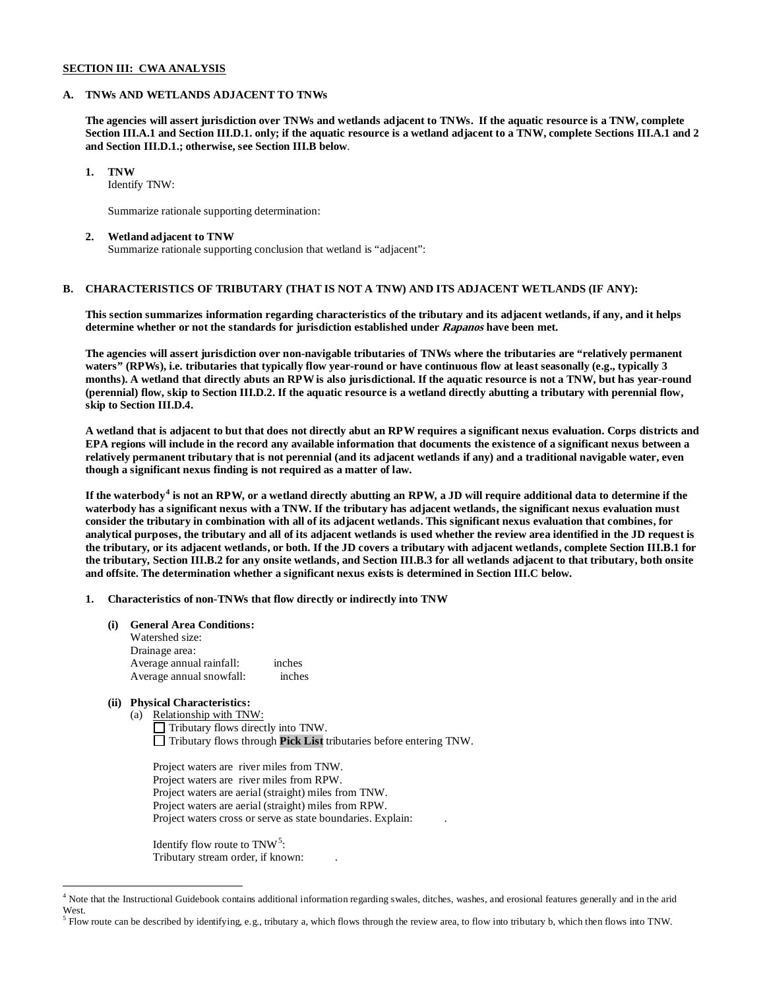#### **SECTION III: CWA ANALYSIS**

#### **A. TNWs AND WETLANDS ADJACENT TO TNWs**

**The agencies will assert jurisdiction over TNWs and wetlands adjacent to TNWs. If the aquatic resource is a TNW, complete Section III.A.1 and Section III.D.1. only; if the aquatic resource is a wetland adjacent to a TNW, complete Sections III.A.1 and 2 and Section III.D.1.; otherwise, see Section III.B below**.

### **1. TNW**

Identify TNW:

Summarize rationale supporting determination:

#### **2. Wetland adjacent to TNW**

Summarize rationale supporting conclusion that wetland is "adjacent":

# **B. CHARACTERISTICS OF TRIBUTARY (THAT IS NOT A TNW) AND ITS ADJACENT WETLANDS (IF ANY):**

**This section summarizes information regarding characteristics of the tributary and its adjacent wetlands, if any, and it helps determine whether or not the standards for jurisdiction established under Rapanos have been met.** 

**The agencies will assert jurisdiction over non-navigable tributaries of TNWs where the tributaries are "relatively permanent waters" (RPWs), i.e. tributaries that typically flow year-round or have continuous flow at least seasonally (e.g., typically 3 months). A wetland that directly abuts an RPW is also jurisdictional. If the aquatic resource is not a TNW, but has year-round (perennial) flow, skip to Section III.D.2. If the aquatic resource is a wetland directly abutting a tributary with perennial flow, skip to Section III.D.4.** 

**A wetland that is adjacent to but that does not directly abut an RPW requires a significant nexus evaluation. Corps districts and EPA regions will include in the record any available information that documents the existence of a significant nexus between a relatively permanent tributary that is not perennial (and its adjacent wetlands if any) and a traditional navigable water, even though a significant nexus finding is not required as a matter of law.**

**If the waterbody[4](#page-1-0) is not an RPW, or a wetland directly abutting an RPW, a JD will require additional data to determine if the waterbody has a significant nexus with a TNW. If the tributary has adjacent wetlands, the significant nexus evaluation must consider the tributary in combination with all of its adjacent wetlands. This significant nexus evaluation that combines, for analytical purposes, the tributary and all of its adjacent wetlands is used whether the review area identified in the JD request is the tributary, or its adjacent wetlands, or both. If the JD covers a tributary with adjacent wetlands, complete Section III.B.1 for the tributary, Section III.B.2 for any onsite wetlands, and Section III.B.3 for all wetlands adjacent to that tributary, both onsite and offsite. The determination whether a significant nexus exists is determined in Section III.C below.**

#### **1. Characteristics of non-TNWs that flow directly or indirectly into TNW**

**(i) General Area Conditions:**

| Watershed size:          |        |
|--------------------------|--------|
| Drainage area:           |        |
| Average annual rainfall: | inches |
| Average annual snowfall: | inches |

# **(ii) Physical Characteristics:**

(a) Relationship with TNW:  $\Box$  Tributary flows directly into TNW. Tributary flows through **Pick List** tributaries before entering TNW.

Project waters are river miles from TNW. Project waters are river miles from RPW. Project waters are aerial (straight) miles from TNW. Project waters are aerial (straight) miles from RPW. Project waters cross or serve as state boundaries. Explain: .

Identify flow route to  $TNW<sup>5</sup>$  $TNW<sup>5</sup>$  $TNW<sup>5</sup>$ : Tributary stream order, if known: .

<span id="page-1-0"></span><sup>&</sup>lt;sup>4</sup> Note that the Instructional Guidebook contains additional information regarding swales, ditches, washes, and erosional features generally and in the arid West.

<span id="page-1-1"></span> $^5$  Flow route can be described by identifying, e.g., tributary a, which flows through the review area, to flow into tributary b, which then flows into TNW.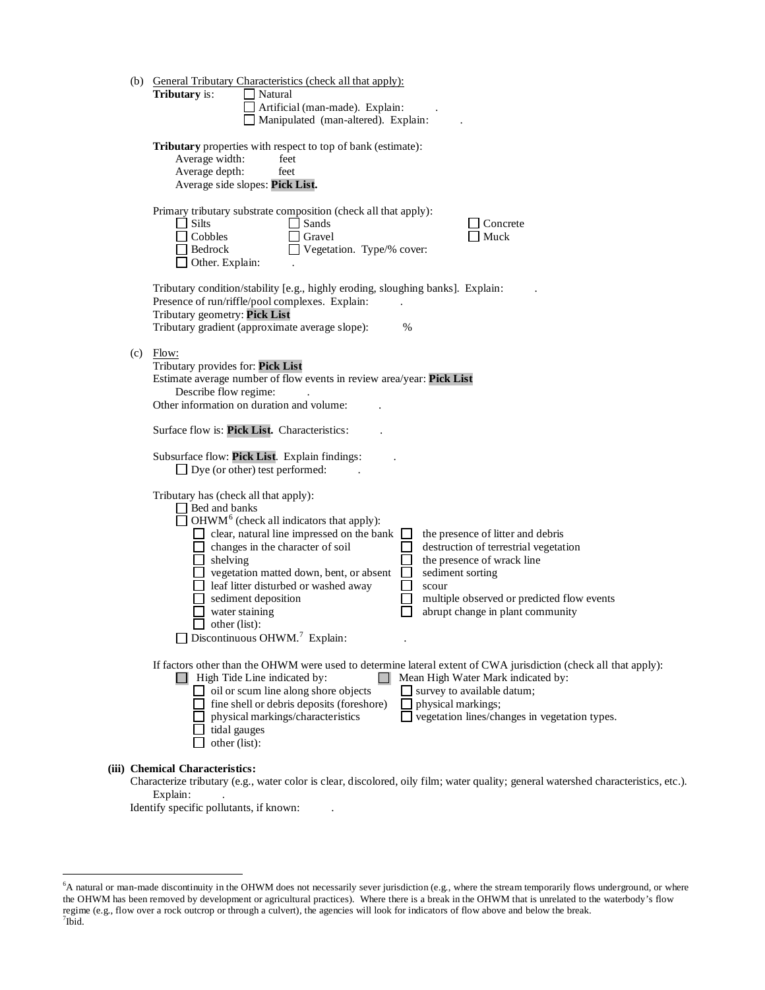|     | (b) General Tributary Characteristics (check all that apply):<br>Tributary is:<br>Natural<br>Artificial (man-made). Explain:<br>Manipulated (man-altered). Explain:                                                                                                                                                                                                                                                                                                                                                                                                                                                                                                                                               |
|-----|-------------------------------------------------------------------------------------------------------------------------------------------------------------------------------------------------------------------------------------------------------------------------------------------------------------------------------------------------------------------------------------------------------------------------------------------------------------------------------------------------------------------------------------------------------------------------------------------------------------------------------------------------------------------------------------------------------------------|
|     | Tributary properties with respect to top of bank (estimate):<br>Average width:<br>feet<br>Average depth:<br>feet<br>Average side slopes: Pick List.                                                                                                                                                                                                                                                                                                                                                                                                                                                                                                                                                               |
|     | Primary tributary substrate composition (check all that apply):<br><b>Silts</b><br>Sands<br>Concrete<br>Muck<br>Cobbles<br>Gravel<br>Bedrock<br>Vegetation. Type/% cover:<br>$\Box$ Other. Explain:                                                                                                                                                                                                                                                                                                                                                                                                                                                                                                               |
|     | Tributary condition/stability [e.g., highly eroding, sloughing banks]. Explain:<br>Presence of run/riffle/pool complexes. Explain:<br>Tributary geometry: Pick List<br>Tributary gradient (approximate average slope):<br>%                                                                                                                                                                                                                                                                                                                                                                                                                                                                                       |
| (c) | Flow:<br>Tributary provides for: Pick List<br>Estimate average number of flow events in review area/year: Pick List<br>Describe flow regime:<br>Other information on duration and volume:                                                                                                                                                                                                                                                                                                                                                                                                                                                                                                                         |
|     | Surface flow is: Pick List. Characteristics:                                                                                                                                                                                                                                                                                                                                                                                                                                                                                                                                                                                                                                                                      |
|     | Subsurface flow: Pick List. Explain findings:<br>$\Box$ Dye (or other) test performed:                                                                                                                                                                                                                                                                                                                                                                                                                                                                                                                                                                                                                            |
|     | Tributary has (check all that apply):<br>□ Bed and banks<br>OHWM <sup>6</sup> (check all indicators that apply):<br>$\Box$ clear, natural line impressed on the bank<br>the presence of litter and debris<br>$\Box$ changes in the character of soil<br>destruction of terrestrial vegetation<br>$\overline{\phantom{a}}$<br>$\Box$ shelving<br>the presence of wrack line<br>$\Box$ vegetation matted down, bent, or absent<br>sediment sorting<br>electric leaf litter disturbed or washed away<br>scour<br>sediment deposition<br>multiple observed or predicted flow events<br>water staining<br>abrupt change in plant community<br>$\Box$ other (list):<br>$\Box$ Discontinuous OHWM. <sup>7</sup> Explain: |
|     | If factors other than the OHWM were used to determine lateral extent of CWA jurisdiction (check all that apply):<br>$\Box$ High Tide Line indicated by:<br>Mean High Water Mark indicated by:<br>oil or scum line along shore objects<br>$\Box$ survey to available datum;<br>fine shell or debris deposits (foreshore)<br>physical markings;<br>vegetation lines/changes in vegetation types.<br>physical markings/characteristics<br>tidal gauges<br>other (list):                                                                                                                                                                                                                                              |
|     | (iii) Chemical Characteristics:                                                                                                                                                                                                                                                                                                                                                                                                                                                                                                                                                                                                                                                                                   |

Characterize tributary (e.g., water color is clear, discolored, oily film; water quality; general watershed characteristics, etc.). Explain:

Identify specific pollutants, if known: .

<span id="page-2-1"></span><span id="page-2-0"></span> <sup>6</sup> <sup>6</sup>A natural or man-made discontinuity in the OHWM does not necessarily sever jurisdiction (e.g., where the stream temporarily flows underground, or where the OHWM has been removed by development or agricultural practices). Where there is a break in the OHWM that is unrelated to the waterbody's flow regime (e.g., flow over a rock outcrop or through a culvert), the agencies will look for indicators of flow above and below the break. <sup>7</sup>  $7$ Ibid.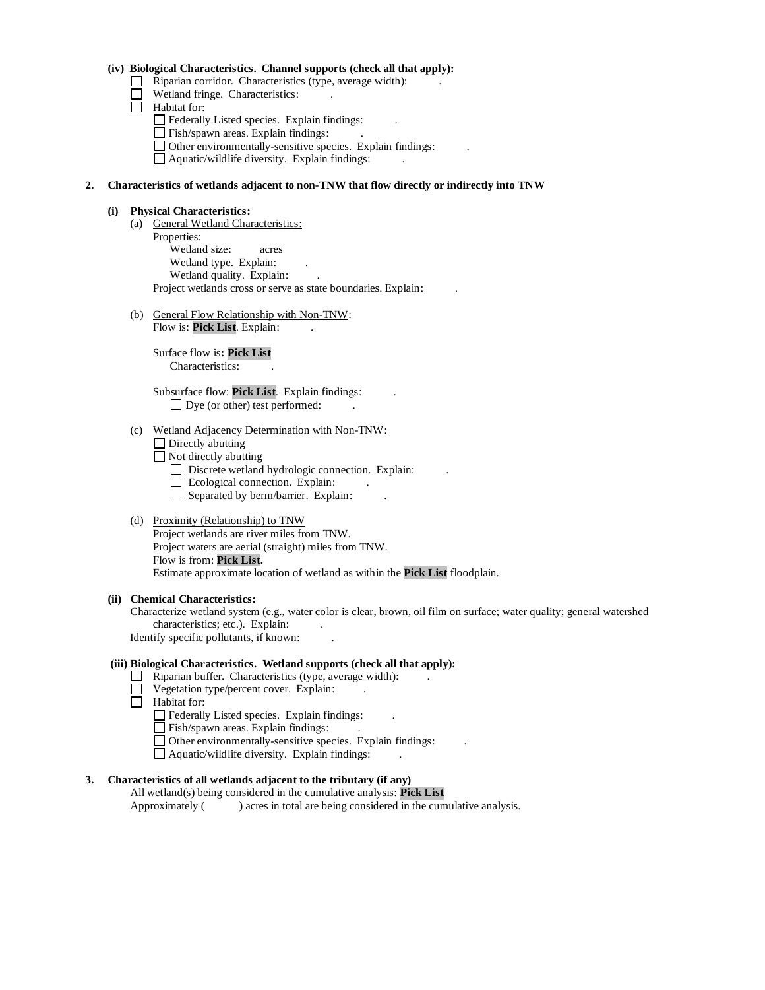### **(iv) Biological Characteristics. Channel supports (check all that apply):**

- $\Box$  Riparian corridor. Characteristics (type, average width):
- Wetland fringe. Characteristics:
- $\Box$  Habitat for:
	- Federally Listed species. Explain findings: .
	- Fish/spawn areas. Explain findings: .
	- $\Box$  Other environmentally-sensitive species. Explain findings:
	- $\Box$  Aquatic/wildlife diversity. Explain findings:

### **2. Characteristics of wetlands adjacent to non-TNW that flow directly or indirectly into TNW**

#### **(i) Physical Characteristics:**

- (a) General Wetland Characteristics: Properties: Wetland size: acres Wetland type. Explain: Wetland quality. Explain: Project wetlands cross or serve as state boundaries. Explain: .
- (b) General Flow Relationship with Non-TNW: Flow is: Pick List. Explain:

Surface flow is**: Pick List**  Characteristics: .

Subsurface flow: **Pick List**. Explain findings: .  $\Box$  Dye (or other) test performed:

#### (c) Wetland Adjacency Determination with Non-TNW:

 $\Box$  Directly abutting

 $\Box$  Not directly abutting

- Discrete wetland hydrologic connection. Explain:
- $\Box$  Ecological connection. Explain:
- $\Box$  Separated by berm/barrier. Explain:

## (d) Proximity (Relationship) to TNW

Project wetlands are river miles from TNW. Project waters are aerial (straight) miles from TNW. Flow is from: **Pick List.** Estimate approximate location of wetland as within the **Pick List** floodplain.

#### **(ii) Chemical Characteristics:**

Characterize wetland system (e.g., water color is clear, brown, oil film on surface; water quality; general watershed characteristics; etc.). Explain:

Identify specific pollutants, if known: .

### **(iii) Biological Characteristics. Wetland supports (check all that apply):**

- Riparian buffer. Characteristics (type, average width):
- $\Box$  Vegetation type/percent cover. Explain:
- $\Box$  Habitat for:
	- Federally Listed species. Explain findings: .
	- Fish/spawn areas. Explain findings:
	- $\Box$  Other environmentally-sensitive species. Explain findings:
	- $\Box$  Aquatic/wildlife diversity. Explain findings:

# **3. Characteristics of all wetlands adjacent to the tributary (if any)**

All wetland(s) being considered in the cumulative analysis: **Pick List** Approximately ( ) acres in total are being considered in the cumulative analysis.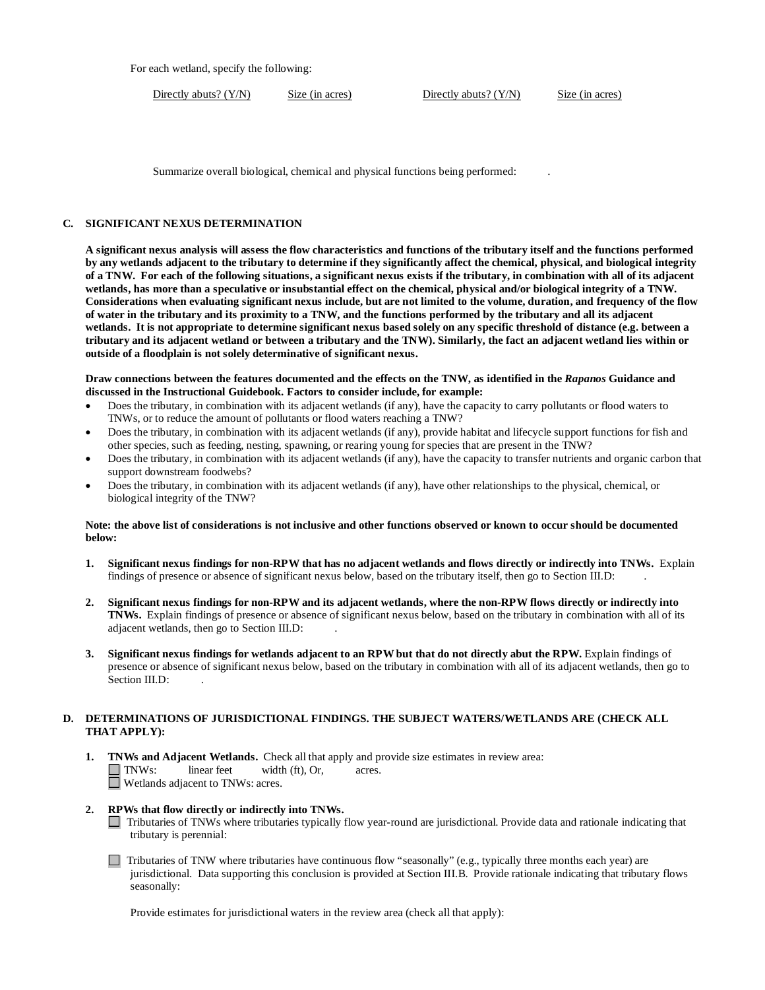For each wetland, specify the following:

Directly abuts? (Y/N) Size (in acres) Directly abuts? (Y/N) Size (in acres)

Summarize overall biological, chemical and physical functions being performed: .

### **C. SIGNIFICANT NEXUS DETERMINATION**

**A significant nexus analysis will assess the flow characteristics and functions of the tributary itself and the functions performed by any wetlands adjacent to the tributary to determine if they significantly affect the chemical, physical, and biological integrity of a TNW. For each of the following situations, a significant nexus exists if the tributary, in combination with all of its adjacent wetlands, has more than a speculative or insubstantial effect on the chemical, physical and/or biological integrity of a TNW. Considerations when evaluating significant nexus include, but are not limited to the volume, duration, and frequency of the flow of water in the tributary and its proximity to a TNW, and the functions performed by the tributary and all its adjacent wetlands. It is not appropriate to determine significant nexus based solely on any specific threshold of distance (e.g. between a tributary and its adjacent wetland or between a tributary and the TNW). Similarly, the fact an adjacent wetland lies within or outside of a floodplain is not solely determinative of significant nexus.** 

**Draw connections between the features documented and the effects on the TNW, as identified in the** *Rapanos* **Guidance and discussed in the Instructional Guidebook. Factors to consider include, for example:**

- Does the tributary, in combination with its adjacent wetlands (if any), have the capacity to carry pollutants or flood waters to TNWs, or to reduce the amount of pollutants or flood waters reaching a TNW?
- Does the tributary, in combination with its adjacent wetlands (if any), provide habitat and lifecycle support functions for fish and other species, such as feeding, nesting, spawning, or rearing young for species that are present in the TNW?
- Does the tributary, in combination with its adjacent wetlands (if any), have the capacity to transfer nutrients and organic carbon that support downstream foodwebs?
- Does the tributary, in combination with its adjacent wetlands (if any), have other relationships to the physical, chemical, or biological integrity of the TNW?

#### **Note: the above list of considerations is not inclusive and other functions observed or known to occur should be documented below:**

- **1. Significant nexus findings for non-RPW that has no adjacent wetlands and flows directly or indirectly into TNWs.** Explain findings of presence or absence of significant nexus below, based on the tributary itself, then go to Section III.D: .
- **2. Significant nexus findings for non-RPW and its adjacent wetlands, where the non-RPW flows directly or indirectly into TNWs.** Explain findings of presence or absence of significant nexus below, based on the tributary in combination with all of its adjacent wetlands, then go to Section III.D: .
- **3. Significant nexus findings for wetlands adjacent to an RPW but that do not directly abut the RPW.** Explain findings of presence or absence of significant nexus below, based on the tributary in combination with all of its adjacent wetlands, then go to Section III.D:

## **D. DETERMINATIONS OF JURISDICTIONAL FINDINGS. THE SUBJECT WATERS/WETLANDS ARE (CHECK ALL THAT APPLY):**

- **1. TNWs and Adjacent Wetlands.** Check all that apply and provide size estimates in review area:<br>
TNWs: linear feet width (ft), Or, acres.  $linear feet \t width (ft), Or, \t acres.$ Wetlands adjacent to TNWs: acres.
- **2. RPWs that flow directly or indirectly into TNWs.**
	- Tributaries of TNWs where tributaries typically flow year-round are jurisdictional. Provide data and rationale indicating that tributary is perennial:
	- $\Box$  Tributaries of TNW where tributaries have continuous flow "seasonally" (e.g., typically three months each year) are jurisdictional. Data supporting this conclusion is provided at Section III.B. Provide rationale indicating that tributary flows seasonally:

Provide estimates for jurisdictional waters in the review area (check all that apply):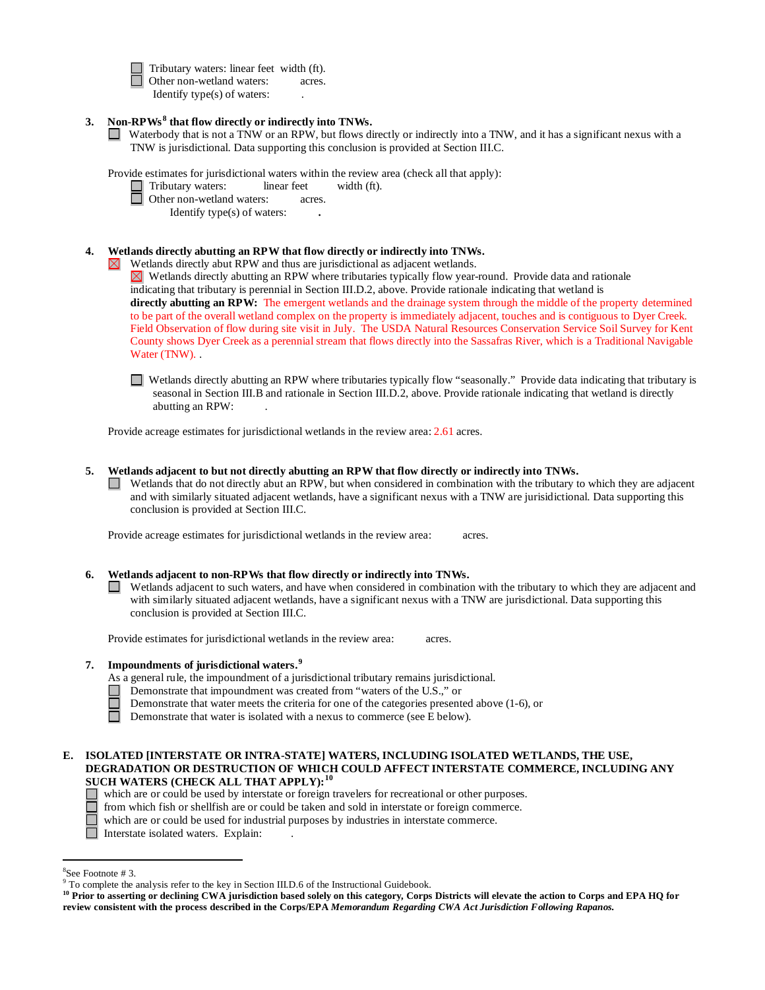Tributary waters: linear feet width (ft). □ Other non-wetland waters: acres. Identify type(s) of waters: .

- **3. Non-RPWs [8](#page-5-0) that flow directly or indirectly into TNWs.**
	- Waterbody that is not a TNW or an RPW, but flows directly or indirectly into a TNW, and it has a significant nexus with a TNW is jurisdictional. Data supporting this conclusion is provided at Section III.C.

Provide estimates for jurisdictional waters within the review area (check all that apply):

- Tributary waters: linear feet width (ft).
- □ Other non-wetland waters: acres.

Identify type(s) of waters: **.**

## **4. Wetlands directly abutting an RPW that flow directly or indirectly into TNWs.**

Wetlands directly abut RPW and thus are jurisdictional as adjacent wetlands. Wetlands directly abutting an RPW where tributaries typically flow year-round. Provide data and rationale indicating that tributary is perennial in Section III.D.2, above. Provide rationale indicating that wetland is **directly abutting an RPW:** The emergent wetlands and the drainage system through the middle of the property determined to be part of the overall wetland complex on the property is immediately adjacent, touches and is contiguous to Dyer Creek. Field Observation of flow during site visit in July. The USDA Natural Resources Conservation Service Soil Survey for Kent County shows Dyer Creek as a perennial stream that flows directly into the Sassafras River, which is a Traditional Navigable Water (TNW)...

Wetlands directly abutting an RPW where tributaries typically flow "seasonally." Provide data indicating that tributary is seasonal in Section III.B and rationale in Section III.D.2, above. Provide rationale indicating that wetland is directly abutting an RPW: .

Provide acreage estimates for jurisdictional wetlands in the review area: 2.61 acres.

**5. Wetlands adjacent to but not directly abutting an RPW that flow directly or indirectly into TNWs.**

Wetlands that do not directly abut an RPW, but when considered in combination with the tributary to which they are adjacent  $\Box$ and with similarly situated adjacent wetlands, have a significant nexus with a TNW are jurisidictional. Data supporting this conclusion is provided at Section III.C.

Provide acreage estimates for jurisdictional wetlands in the review area: acres.

### **6. Wetlands adjacent to non-RPWs that flow directly or indirectly into TNWs.**

Wetlands adjacent to such waters, and have when considered in combination with the tributary to which they are adjacent and with similarly situated adjacent wetlands, have a significant nexus with a TNW are jurisdictional. Data supporting this conclusion is provided at Section III.C.

Provide estimates for jurisdictional wetlands in the review area: acres.

## **7. Impoundments of jurisdictional waters. [9](#page-5-1)**

- As a general rule, the impoundment of a jurisdictional tributary remains jurisdictional.
- Demonstrate that impoundment was created from "waters of the U.S.," or
	- Demonstrate that water meets the criteria for one of the categories presented above (1-6), or

 $\Box$ Demonstrate that water is isolated with a nexus to commerce (see E below).

### **E. ISOLATED [INTERSTATE OR INTRA-STATE] WATERS, INCLUDING ISOLATED WETLANDS, THE USE, DEGRADATION OR DESTRUCTION OF WHICH COULD AFFECT INTERSTATE COMMERCE, INCLUDING ANY SUCH WATERS (CHECK ALL THAT APPLY):[10](#page-5-2)**

- which are or could be used by interstate or foreign travelers for recreational or other purposes.
- $\Box$  from which fish or shellfish are or could be taken and sold in interstate or foreign commerce.
	- which are or could be used for industrial purposes by industries in interstate commerce.
- Interstate isolated waters.Explain: .

 <sup>8</sup>

<span id="page-5-1"></span><span id="page-5-0"></span> ${}^{8}$ See Footnote # 3.<br>9 To complete the analysis refer to the key in Section III.D.6 of the Instructional Guidebook.

<span id="page-5-2"></span>**<sup>10</sup> Prior to asserting or declining CWA jurisdiction based solely on this category, Corps Districts will elevate the action to Corps and EPA HQ for review consistent with the process described in the Corps/EPA** *Memorandum Regarding CWA Act Jurisdiction Following Rapanos.*